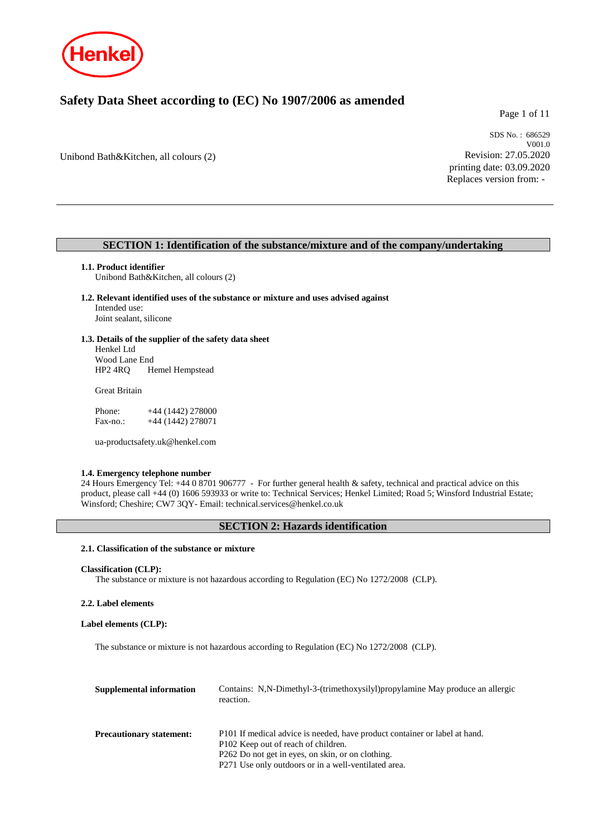

# **Safety Data Sheet according to (EC) No 1907/2006 as amended**

Page 1 of 11

Unibond Bath&Kitchen, all colours (2)

SDS No. : 686529 V001.0 Revision: 27.05.2020 printing date: 03.09.2020 Replaces version from: -

## **SECTION 1: Identification of the substance/mixture and of the company/undertaking**

## **1.1. Product identifier**

Unibond Bath&Kitchen, all colours (2)

#### **1.2. Relevant identified uses of the substance or mixture and uses advised against** Intended use: Joint sealant, silicone

## **1.3. Details of the supplier of the safety data sheet**

Henkel Ltd Wood Lane End<br>HP2 4RQ H Hemel Hempstead

Great Britain

Phone: +44 (1442) 278000 Fax-no.: +44 (1442) 278071

ua-productsafety.uk@henkel.com

## **1.4. Emergency telephone number**

24 Hours Emergency Tel: +44 0 8701 906777 - For further general health & safety, technical and practical advice on this product, please call +44 (0) 1606 593933 or write to: Technical Services; Henkel Limited; Road 5; Winsford Industrial Estate; Winsford; Cheshire; CW7 3QY- Email: technical.services@henkel.co.uk

## **SECTION 2: Hazards identification**

### **2.1. Classification of the substance or mixture**

```
Classification (CLP):
```
The substance or mixture is not hazardous according to Regulation (EC) No 1272/2008 (CLP).

## **2.2. Label elements**

## **Label elements (CLP):**

The substance or mixture is not hazardous according to Regulation (EC) No 1272/2008 (CLP).

| Supplemental information        | Contains: N,N-Dimethyl-3-(trimethoxysilyl) propylamine May produce an allergic<br>reaction.                                                                                                                                    |
|---------------------------------|--------------------------------------------------------------------------------------------------------------------------------------------------------------------------------------------------------------------------------|
| <b>Precautionary statement:</b> | P101 If medical advice is needed, have product container or label at hand.<br>P102 Keep out of reach of children.<br>P262 Do not get in eyes, on skin, or on clothing.<br>P271 Use only outdoors or in a well-ventilated area. |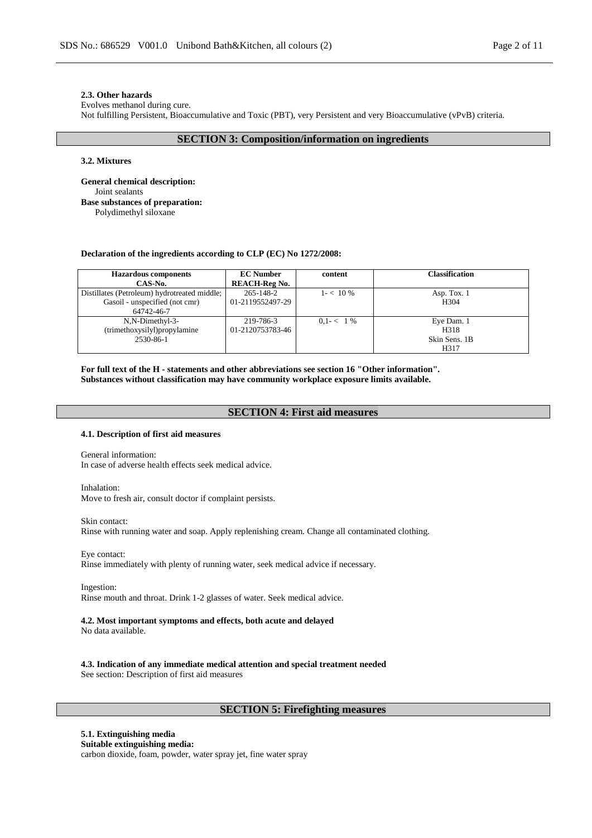### **2.3. Other hazards**

Evolves methanol during cure.

Not fulfilling Persistent, Bioaccumulative and Toxic (PBT), very Persistent and very Bioaccumulative (vPvB) criteria.

## **SECTION 3: Composition/information on ingredients**

#### **3.2. Mixtures**

**General chemical description:** Joint sealants **Base substances of preparation:** Polydimethyl siloxane

#### **Declaration of the ingredients according to CLP (EC) No 1272/2008:**

| <b>Hazardous</b> components                  | <b>EC Number</b>     | content       | <b>Classification</b> |
|----------------------------------------------|----------------------|---------------|-----------------------|
| CAS-No.                                      | <b>REACH-Reg No.</b> |               |                       |
| Distillates (Petroleum) hydrotreated middle; | 265-148-2            | $1 - 10\%$    | Asp. Tox. 1           |
| Gasoil - unspecified (not cmr)               | 01-2119552497-29     |               | H <sub>304</sub>      |
| 64742-46-7                                   |                      |               |                       |
| N,N-Dimethyl-3-                              | 219-786-3            | $0.1 - < 1\%$ | Eye Dam. 1            |
| (trimethoxysilyl)propylamine                 | 01-2120753783-46     |               | H318                  |
| 2530-86-1                                    |                      |               | Skin Sens. 1B         |
|                                              |                      |               | H317                  |

**For full text of the H - statements and other abbreviations see section 16 "Other information". Substances without classification may have community workplace exposure limits available.**

## **SECTION 4: First aid measures**

#### **4.1. Description of first aid measures**

General information: In case of adverse health effects seek medical advice.

Inhalation: Move to fresh air, consult doctor if complaint persists.

Skin contact: Rinse with running water and soap. Apply replenishing cream. Change all contaminated clothing.

Eye contact: Rinse immediately with plenty of running water, seek medical advice if necessary.

Ingestion: Rinse mouth and throat. Drink 1-2 glasses of water. Seek medical advice.

## **4.2. Most important symptoms and effects, both acute and delayed**

No data available.

**4.3. Indication of any immediate medical attention and special treatment needed** See section: Description of first aid measures

## **SECTION 5: Firefighting measures**

#### **5.1. Extinguishing media Suitable extinguishing media:** carbon dioxide, foam, powder, water spray jet, fine water spray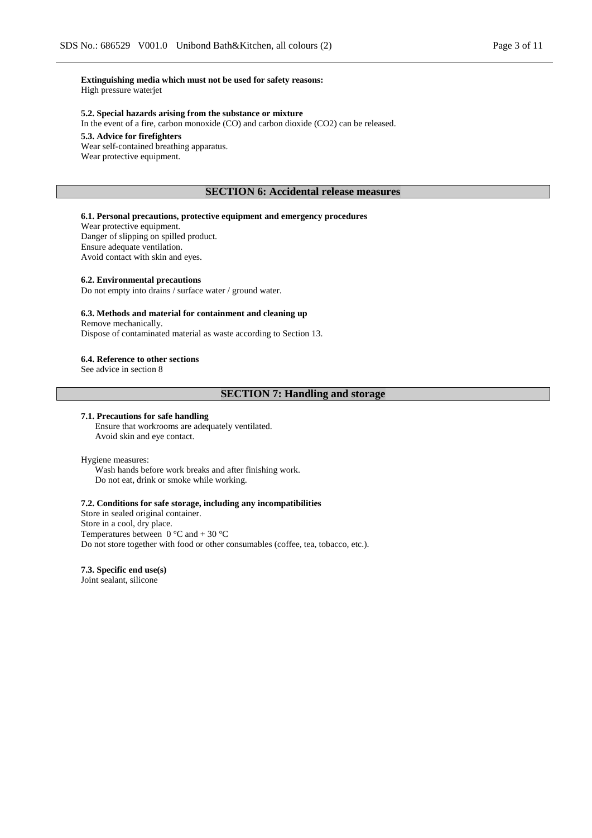**Extinguishing media which must not be used for safety reasons:** High pressure waterjet

## **5.2. Special hazards arising from the substance or mixture**

In the event of a fire, carbon monoxide (CO) and carbon dioxide (CO2) can be released.

#### **5.3. Advice for firefighters**

Wear self-contained breathing apparatus. Wear protective equipment.

## **SECTION 6: Accidental release measures**

## **6.1. Personal precautions, protective equipment and emergency procedures**

Wear protective equipment. Danger of slipping on spilled product. Ensure adequate ventilation. Avoid contact with skin and eyes.

#### **6.2. Environmental precautions**

Do not empty into drains / surface water / ground water.

#### **6.3. Methods and material for containment and cleaning up**

Remove mechanically.

Dispose of contaminated material as waste according to Section 13.

#### **6.4. Reference to other sections**

See advice in section 8

## **SECTION 7: Handling and storage**

#### **7.1. Precautions for safe handling**

Ensure that workrooms are adequately ventilated. Avoid skin and eye contact.

#### Hygiene measures:

Wash hands before work breaks and after finishing work. Do not eat, drink or smoke while working.

### **7.2. Conditions for safe storage, including any incompatibilities**

Store in sealed original container. Store in a cool, dry place. Temperatures between  $0^{\circ}$ C and  $+ 30^{\circ}$ C Do not store together with food or other consumables (coffee, tea, tobacco, etc.).

**7.3. Specific end use(s)** Joint sealant, silicone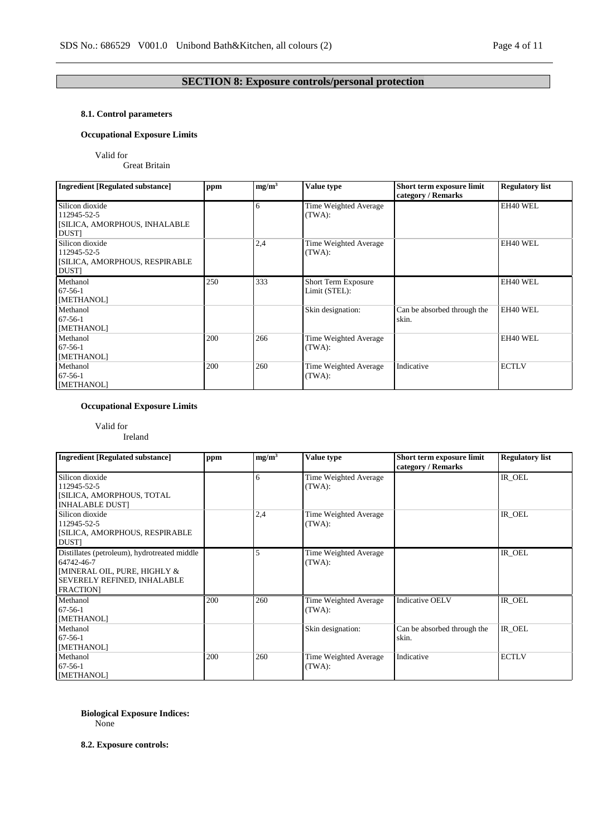## **SECTION 8: Exposure controls/personal protection**

## **8.1. Control parameters**

## **Occupational Exposure Limits**

## Valid for

Great Britain

| <b>Ingredient [Regulated substance]</b>                                        | ppm | mg/m <sup>3</sup> | Value type                           | Short term exposure limit<br>category / Remarks | <b>Regulatory list</b> |
|--------------------------------------------------------------------------------|-----|-------------------|--------------------------------------|-------------------------------------------------|------------------------|
| Silicon dioxide<br>112945-52-5<br>[SILICA, AMORPHOUS, INHALABLE<br><b>DUST</b> |     | 6                 | Time Weighted Average<br>(TWA):      |                                                 | EH40 WEL               |
| Silicon dioxide<br>112945-52-5<br>[SILICA, AMORPHOUS, RESPIRABLE<br>DUST]      |     | 2,4               | Time Weighted Average<br>(TWA):      |                                                 | EH40 WEL               |
| Methanol<br>$67-56-1$<br>[METHANOL]                                            | 250 | 333               | Short Term Exposure<br>Limit (STEL): |                                                 | EH40 WEL               |
| Methanol<br>$67-56-1$<br>[METHANOL]                                            |     |                   | Skin designation:                    | Can be absorbed through the<br>skin.            | EH40 WEL               |
| Methanol<br>$67-56-1$<br>[METHANOL]                                            | 200 | 266               | Time Weighted Average<br>(TWA):      |                                                 | EH40 WEL               |
| Methanol<br>$67-56-1$<br>[METHANOL]                                            | 200 | 260               | Time Weighted Average<br>(TWA):      | Indicative                                      | <b>ECTLV</b>           |

## **Occupational Exposure Limits**

## Valid for

Ireland

| <b>Ingredient [Regulated substance]</b>                                                                                                                 | ppm | mg/m <sup>3</sup> | Value type                      | Short term exposure limit<br>category / Remarks | <b>Regulatory list</b> |
|---------------------------------------------------------------------------------------------------------------------------------------------------------|-----|-------------------|---------------------------------|-------------------------------------------------|------------------------|
| Silicon dioxide<br>112945-52-5<br>[SILICA, AMORPHOUS, TOTAL<br><b>INHALABLE DUST]</b>                                                                   |     | 6                 | Time Weighted Average<br>(TWA): |                                                 | IR OEL                 |
| Silicon dioxide<br>112945-52-5<br>[SILICA, AMORPHOUS, RESPIRABLE<br><b>DUST</b>                                                                         |     | 2,4               | Time Weighted Average<br>(TWA): |                                                 | IR_OEL                 |
| Distillates (petroleum), hydrotreated middle<br>64742-46-7<br><b>IMINERAL OIL, PURE, HIGHLY &amp;</b><br>SEVERELY REFINED, INHALABLE<br><b>FRACTION</b> |     |                   | Time Weighted Average<br>(TWA): |                                                 | IR_OEL                 |
| Methanol<br>$67 - 56 - 1$<br>[METHANOL]                                                                                                                 | 200 | 260               | Time Weighted Average<br>(TWA): | <b>Indicative OELV</b>                          | IR_OEL                 |
| Methanol<br>$67-56-1$<br>[METHANOL]                                                                                                                     |     |                   | Skin designation:               | Can be absorbed through the<br>skin.            | IR_OEL                 |
| Methanol<br>$67-56-1$<br>[METHANOL]                                                                                                                     | 200 | 260               | Time Weighted Average<br>(TWA): | Indicative                                      | <b>ECTLV</b>           |

### **Biological Exposure Indices:** None

**8.2. Exposure controls:**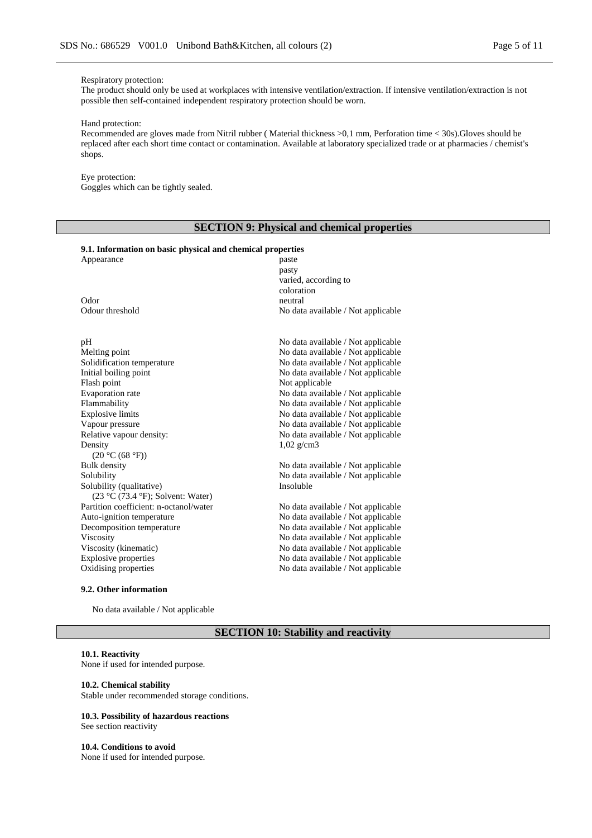#### Respiratory protection:

The product should only be used at workplaces with intensive ventilation/extraction. If intensive ventilation/extraction is not possible then self-contained independent respiratory protection should be worn.

#### Hand protection:

Recommended are gloves made from Nitril rubber ( Material thickness >0,1 mm, Perforation time < 30s).Gloves should be replaced after each short time contact or contamination. Available at laboratory specialized trade or at pharmacies / chemist's shops.

### Eye protection:

Goggles which can be tightly sealed.

## **SECTION 9: Physical and chemical properties**

#### **9.1. Information on basic physical and chemical properties**

| Appearance                             | paste                              |
|----------------------------------------|------------------------------------|
|                                        | pasty                              |
|                                        | varied, according to               |
|                                        | coloration                         |
| Odor                                   | neutral                            |
| Odour threshold                        | No data available / Not applicable |
| pH                                     | No data available / Not applicable |
| Melting point                          | No data available / Not applicable |
| Solidification temperature             | No data available / Not applicable |
| Initial boiling point                  | No data available / Not applicable |
| Flash point                            | Not applicable                     |
| Evaporation rate                       | No data available / Not applicable |
| Flammability                           | No data available / Not applicable |
| <b>Explosive limits</b>                | No data available / Not applicable |
| Vapour pressure                        | No data available / Not applicable |
| Relative vapour density:               | No data available / Not applicable |
| Density                                | $1,02 \text{ g/cm}3$               |
| (20 °C (68 °F))                        |                                    |
| Bulk density                           | No data available / Not applicable |
| Solubility                             | No data available / Not applicable |
| Solubility (qualitative)               | Insoluble                          |
| (23 °C (73.4 °F); Solvent: Water)      |                                    |
| Partition coefficient: n-octanol/water | No data available / Not applicable |
| Auto-ignition temperature              | No data available / Not applicable |
| Decomposition temperature              | No data available / Not applicable |
| Viscosity                              | No data available / Not applicable |
| Viscosity (kinematic)                  | No data available / Not applicable |
| <b>Explosive properties</b>            | No data available / Not applicable |
| Oxidising properties                   | No data available / Not applicable |
|                                        |                                    |

### **9.2. Other information**

No data available / Not applicable

## **SECTION 10: Stability and reactivity**

### **10.1. Reactivity**

None if used for intended purpose.

#### **10.2. Chemical stability**

Stable under recommended storage conditions.

#### **10.3. Possibility of hazardous reactions** See section reactivity

**10.4. Conditions to avoid** None if used for intended purpose.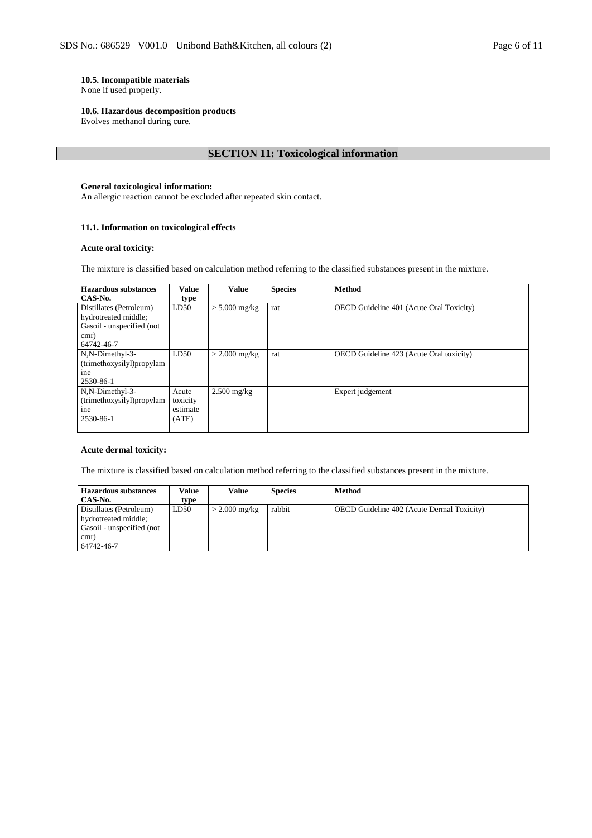## **10.5. Incompatible materials**

None if used properly.

### **10.6. Hazardous decomposition products**

Evolves methanol during cure.

## **SECTION 11: Toxicological information**

## **General toxicological information:**

An allergic reaction cannot be excluded after repeated skin contact.

## **11.1. Information on toxicological effects**

### **Acute oral toxicity:**

The mixture is classified based on calculation method referring to the classified substances present in the mixture.

| Hazardous substances      | <b>Value</b> | <b>Value</b>    | <b>Species</b> | <b>Method</b>                            |
|---------------------------|--------------|-----------------|----------------|------------------------------------------|
| CAS-No.                   | type         |                 |                |                                          |
| Distillates (Petroleum)   | LD50         | $> 5.000$ mg/kg | rat            | OECD Guideline 401 (Acute Oral Toxicity) |
| hydrotreated middle;      |              |                 |                |                                          |
| Gasoil - unspecified (not |              |                 |                |                                          |
| cmr)                      |              |                 |                |                                          |
| 64742-46-7                |              |                 |                |                                          |
| N,N-Dimethyl-3-           | LD50         | $>$ 2.000 mg/kg | rat            | OECD Guideline 423 (Acute Oral toxicity) |
| (trimethoxysilyl)propylam |              |                 |                |                                          |
| ine                       |              |                 |                |                                          |
| 2530-86-1                 |              |                 |                |                                          |
| N,N-Dimethyl-3-           | Acute        | $2.500$ mg/kg   |                | Expert judgement                         |
| (trimethoxysilyl)propylam | toxicity     |                 |                |                                          |
| ine                       | estimate     |                 |                |                                          |
| 2530-86-1                 | (ATE)        |                 |                |                                          |
|                           |              |                 |                |                                          |

### **Acute dermal toxicity:**

The mixture is classified based on calculation method referring to the classified substances present in the mixture.

| <b>Hazardous substances</b><br>CAS-No.                                                             | Value<br>type | Value           | <b>Species</b> | <b>Method</b>                                     |
|----------------------------------------------------------------------------------------------------|---------------|-----------------|----------------|---------------------------------------------------|
| Distillates (Petroleum)<br>hydrotreated middle;<br>Gasoil - unspecified (not<br>cmr)<br>64742-46-7 | LD50          | $>$ 2.000 mg/kg | rabbit         | <b>OECD</b> Guideline 402 (Acute Dermal Toxicity) |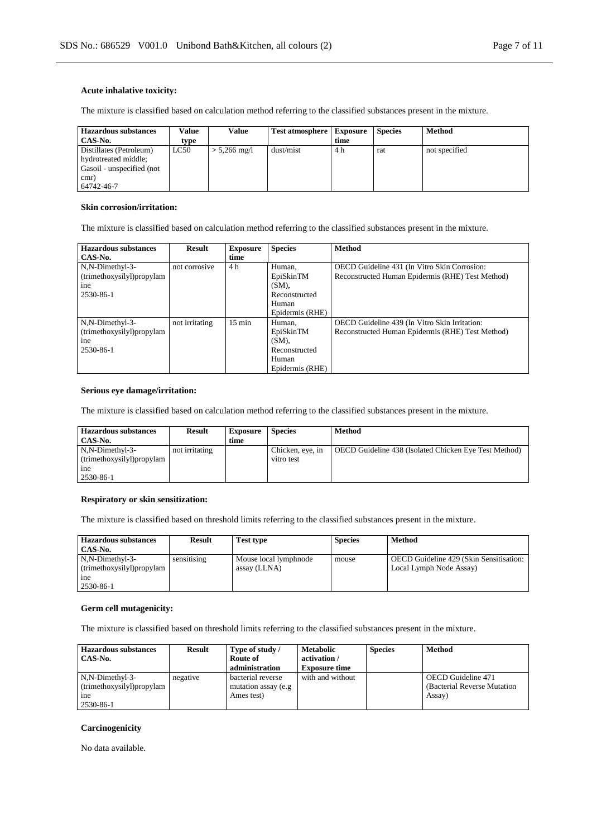### **Acute inhalative toxicity:**

The mixture is classified based on calculation method referring to the classified substances present in the mixture.

| <b>Hazardous substances</b> | Value | Value          | <b>Test atmosphere</b> | <b>Exposure</b> | <b>Species</b> | <b>Method</b> |
|-----------------------------|-------|----------------|------------------------|-----------------|----------------|---------------|
| CAS-No.                     | type  |                |                        | time            |                |               |
| Distillates (Petroleum)     | LC50  | $> 5,266$ mg/l | dust/mist              | 4 h             | rat            | not specified |
| hydrotreated middle;        |       |                |                        |                 |                |               |
| Gasoil - unspecified (not   |       |                |                        |                 |                |               |
| cmr)                        |       |                |                        |                 |                |               |
| 64742-46-7                  |       |                |                        |                 |                |               |

### **Skin corrosion/irritation:**

The mixture is classified based on calculation method referring to the classified substances present in the mixture.

| Hazardous substances      | Result         | <b>Exposure</b>  | <b>Species</b>  | <b>Method</b>                                    |
|---------------------------|----------------|------------------|-----------------|--------------------------------------------------|
| CAS-No.                   |                | time             |                 |                                                  |
| N,N-Dimethyl-3-           | not corrosive  | 4 h              | Human,          | OECD Guideline 431 (In Vitro Skin Corrosion:     |
| (trimethoxysilyl)propylam |                |                  | EpiSkinTM       | Reconstructed Human Epidermis (RHE) Test Method) |
| ine                       |                |                  | (SM).           |                                                  |
| 2530-86-1                 |                |                  | Reconstructed   |                                                  |
|                           |                |                  | Human           |                                                  |
|                           |                |                  | Epidermis (RHE) |                                                  |
| N,N-Dimethyl-3-           | not irritating | $15 \text{ min}$ | Human,          | OECD Guideline 439 (In Vitro Skin Irritation:    |
| (trimethoxysilyl)propylam |                |                  | EpiSkinTM       | Reconstructed Human Epidermis (RHE) Test Method) |
| ine                       |                |                  | $(SM)$ ,        |                                                  |
| 2530-86-1                 |                |                  | Reconstructed   |                                                  |
|                           |                |                  | Human           |                                                  |
|                           |                |                  | Epidermis (RHE) |                                                  |

## **Serious eye damage/irritation:**

The mixture is classified based on calculation method referring to the classified substances present in the mixture.

| <b>Hazardous substances</b><br>CAS-No.                                       | <b>Result</b>  | <b>Exposure</b><br>time | <b>Species</b>                 | <b>Method</b>                                         |
|------------------------------------------------------------------------------|----------------|-------------------------|--------------------------------|-------------------------------------------------------|
| N,N-Dimethyl-3-<br>(trimethoxysilyl)propylam<br><sub>1</sub> ne<br>2530-86-1 | not irritating |                         | Chicken, eye, in<br>vitro test | OECD Guideline 438 (Isolated Chicken Eye Test Method) |

#### **Respiratory or skin sensitization:**

The mixture is classified based on threshold limits referring to the classified substances present in the mixture.

| Hazardous substances<br>CAS-No.                                              | <b>Result</b> | <b>Test type</b>                      | <b>Species</b> | Method                                                             |
|------------------------------------------------------------------------------|---------------|---------------------------------------|----------------|--------------------------------------------------------------------|
| N,N-Dimethyl-3-<br>(trimethoxysilyl)propylam<br><sub>1</sub> ne<br>2530-86-1 | sensitising   | Mouse local lymphnode<br>assay (LLNA) | mouse          | OECD Guideline 429 (Skin Sensitisation:<br>Local Lymph Node Assay) |

#### **Germ cell mutagenicity:**

The mixture is classified based on threshold limits referring to the classified substances present in the mixture.

| <b>Hazardous substances</b><br>CAS-No.                                       | <b>Result</b> | Type of study /<br>Route of<br>administration           | <b>Metabolic</b><br>activation/<br><b>Exposure time</b> | <b>Species</b> | <b>Method</b>                                                       |
|------------------------------------------------------------------------------|---------------|---------------------------------------------------------|---------------------------------------------------------|----------------|---------------------------------------------------------------------|
| N,N-Dimethyl-3-<br>(trimethoxysilyl)propylam<br><sub>1</sub> ne<br>2530-86-1 | negative      | bacterial reverse<br>mutation assay (e.g.<br>Ames test) | with and without                                        |                | <b>OECD</b> Guideline 471<br>(Bacterial Reverse Mutation)<br>Assay) |

## **Carcinogenicity**

No data available.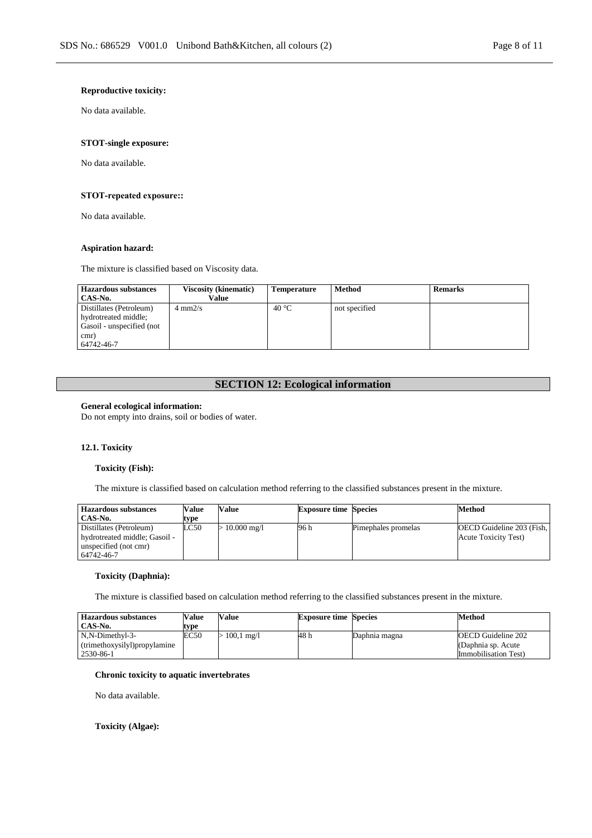### **Reproductive toxicity:**

No data available.

## **STOT-single exposure:**

No data available.

### **STOT-repeated exposure::**

No data available.

### **Aspiration hazard:**

The mixture is classified based on Viscosity data.

| <b>Hazardous substances</b> | <b>Viscosity (kinematic)</b> | Temperature | Method        | <b>Remarks</b> |
|-----------------------------|------------------------------|-------------|---------------|----------------|
| CAS-No.                     | Value                        |             |               |                |
| Distillates (Petroleum)     | $4 \text{ mm}2/s$            | 40 °C       | not specified |                |
| hydrotreated middle;        |                              |             |               |                |
| Gasoil - unspecified (not   |                              |             |               |                |
| cmr)                        |                              |             |               |                |
| 64742-46-7                  |                              |             |               |                |

## **SECTION 12: Ecological information**

### **General ecological information:**

Do not empty into drains, soil or bodies of water.

## **12.1. Toxicity**

#### **Toxicity (Fish):**

The mixture is classified based on calculation method referring to the classified substances present in the mixture.

| <b>Hazardous substances</b>                                                                     | Value | Value                    | <b>Exposure time Species</b> |                     | Method                                                    |
|-------------------------------------------------------------------------------------------------|-------|--------------------------|------------------------------|---------------------|-----------------------------------------------------------|
| CAS-No.                                                                                         | type  |                          |                              |                     |                                                           |
| Distillates (Petroleum)<br>hydrotreated middle; Gasoil -<br>unspecified (not cmr)<br>64742-46-7 | LC50  | $10.000 \,\mathrm{mg}/l$ | 96 h                         | Pimephales promelas | OECD Guideline 203 (Fish,<br><b>Acute Toxicity Test</b> ) |

## **Toxicity (Daphnia):**

The mixture is classified based on calculation method referring to the classified substances present in the mixture.

| <b>Hazardous substances</b><br>CAS-No. | <b>Value</b><br>tvpe | <b>Value</b>         | <b>Exposure time Species</b> |               | Method                    |
|----------------------------------------|----------------------|----------------------|------------------------------|---------------|---------------------------|
| N,N-Dimethyl-3-                        | EC50                 | $100.1 \text{ mg}/1$ | 48 h                         | Daphnia magna | <b>OECD</b> Guideline 202 |
| (trimethoxysilyl)propylamine           |                      |                      |                              |               | (Daphnia sp. Acute        |
| 2530-86-1                              |                      |                      |                              |               | Immobilisation Test)      |

#### **Chronic toxicity to aquatic invertebrates**

No data available.

### **Toxicity (Algae):**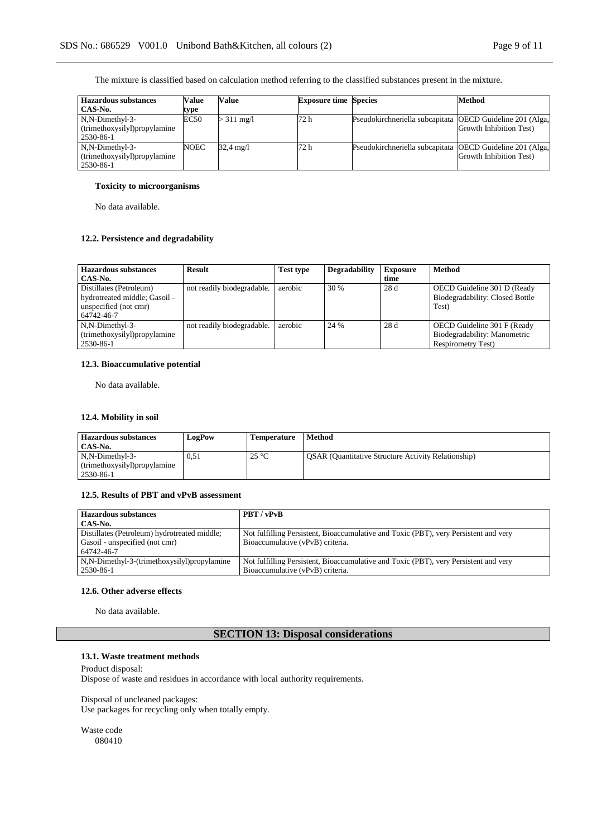The mixture is classified based on calculation method referring to the classified substances present in the mixture.

| <b>Hazardous substances</b>   | Value | Value       | <b>Exposure time Species</b> |                                                           | <b>Method</b>           |
|-------------------------------|-------|-------------|------------------------------|-----------------------------------------------------------|-------------------------|
| CAS-No.                       | type  |             |                              |                                                           |                         |
| N,N-Dimethyl-3-               | EC50  | $>311$ mg/l | 72 h                         | Pseudokirchneriella subcapitata OECD Guideline 201 (Alga, |                         |
| (trimethoxysilyl) propylamine |       |             |                              |                                                           | Growth Inhibition Test) |
| 2530-86-1                     |       |             |                              |                                                           |                         |
| N,N-Dimethyl-3-               | NOEC  | 32.4 mg/l   | 72 h                         | Pseudokirchneriella subcapitata OECD Guideline 201 (Alga, |                         |
| (trimethoxysilyl)propylamine  |       |             |                              |                                                           | Growth Inhibition Test) |
| 2530-86-1                     |       |             |                              |                                                           |                         |

### **Toxicity to microorganisms**

No data available.

## **12.2. Persistence and degradability**

| Hazardous substances<br>CAS-No.                                                                 | <b>Result</b>              | <b>Test type</b> | <b>Degradability</b> | <b>Exposure</b><br>time | <b>Method</b>                                                                            |
|-------------------------------------------------------------------------------------------------|----------------------------|------------------|----------------------|-------------------------|------------------------------------------------------------------------------------------|
| Distillates (Petroleum)<br>hydrotreated middle; Gasoil -<br>unspecified (not cmr)<br>64742-46-7 | not readily biodegradable. | aerobic          | 30 %                 | 28 d                    | OECD Guideline 301 D (Ready<br>Biodegradability: Closed Bottle<br>Test)                  |
| N,N-Dimethyl-3-<br>(trimethoxysilyl)propylamine<br>2530-86-1                                    | not readily biodegradable. | aerobic          | 24 %                 | 28 d                    | OECD Guideline 301 F (Ready<br>Biodegradability: Manometric<br><b>Respirometry Test)</b> |

## **12.3. Bioaccumulative potential**

No data available.

## **12.4. Mobility in soil**

| Hazardous substances<br>CAS-No.                 | <b>LogPow</b> | <b>Temperature</b> | Method                                                     |
|-------------------------------------------------|---------------|--------------------|------------------------------------------------------------|
| N,N-Dimethyl-3-<br>(trimethoxysilyl)propylamine | 0.51          | $25^{\circ}$ C     | <b>OSAR</b> (Quantitative Structure Activity Relationship) |
| 2530-86-1                                       |               |                    |                                                            |

## **12.5. Results of PBT and vPvB assessment**

| <b>Hazardous substances</b>                  | PBT / vPvB                                                                           |
|----------------------------------------------|--------------------------------------------------------------------------------------|
| CAS-No.                                      |                                                                                      |
| Distillates (Petroleum) hydrotreated middle; | Not fulfilling Persistent, Bioaccumulative and Toxic (PBT), very Persistent and very |
| Gasoil - unspecified (not cmr)               | Bioaccumulative (vPvB) criteria.                                                     |
| 64742-46-7                                   |                                                                                      |
| N,N-Dimethyl-3-(trimethoxysilyl)propylamine  | Not fulfilling Persistent, Bioaccumulative and Toxic (PBT), very Persistent and very |
| 2530-86-1                                    | Bioaccumulative (vPvB) criteria.                                                     |

## **12.6. Other adverse effects**

No data available.

## **SECTION 13: Disposal considerations**

#### **13.1. Waste treatment methods**

Product disposal: Dispose of waste and residues in accordance with local authority requirements.

Disposal of uncleaned packages: Use packages for recycling only when totally empty.

Waste code 080410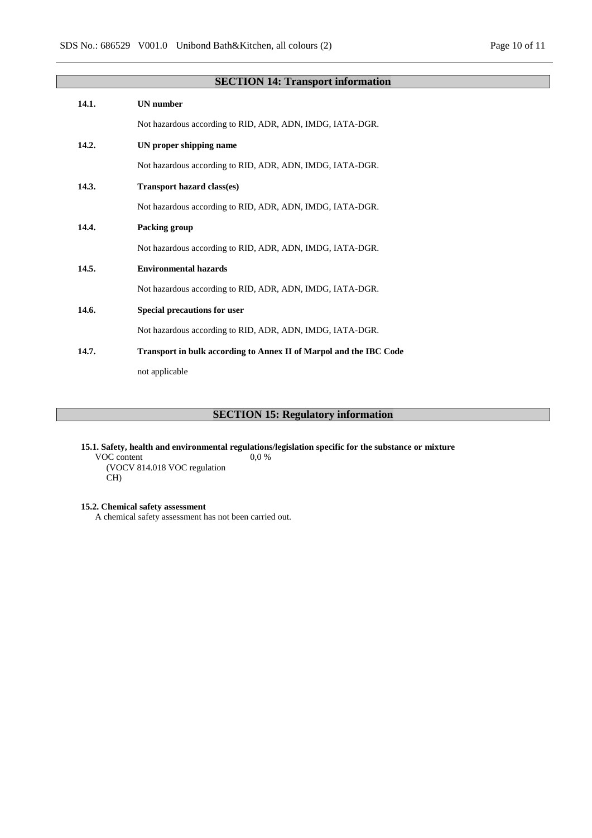| Page $10$ of $11$ |  |  |
|-------------------|--|--|
|                   |  |  |

|       | <b>SECTION 14: Transport information</b>                           |
|-------|--------------------------------------------------------------------|
| 14.1. | <b>UN</b> number                                                   |
|       | Not hazardous according to RID, ADR, ADN, IMDG, IATA-DGR.          |
| 14.2. | UN proper shipping name                                            |
|       | Not hazardous according to RID, ADR, ADN, IMDG, IATA-DGR.          |
| 14.3. | <b>Transport hazard class(es)</b>                                  |
|       | Not hazardous according to RID, ADR, ADN, IMDG, IATA-DGR.          |
| 14.4. | Packing group                                                      |
|       | Not hazardous according to RID, ADR, ADN, IMDG, IATA-DGR.          |
| 14.5. | <b>Environmental hazards</b>                                       |
|       | Not hazardous according to RID, ADR, ADN, IMDG, IATA-DGR.          |
| 14.6. | <b>Special precautions for user</b>                                |
|       | Not hazardous according to RID, ADR, ADN, IMDG, IATA-DGR.          |
| 14.7. | Transport in bulk according to Annex II of Marpol and the IBC Code |
|       | not applicable                                                     |

## **SECTION 15: Regulatory information**

**15.1. Safety, health and environmental regulations/legislation specific for the substance or mixture** VOC content (VOCV 814.018 VOC regulation CH) 0,0 %

**15.2. Chemical safety assessment**

A chemical safety assessment has not been carried out.